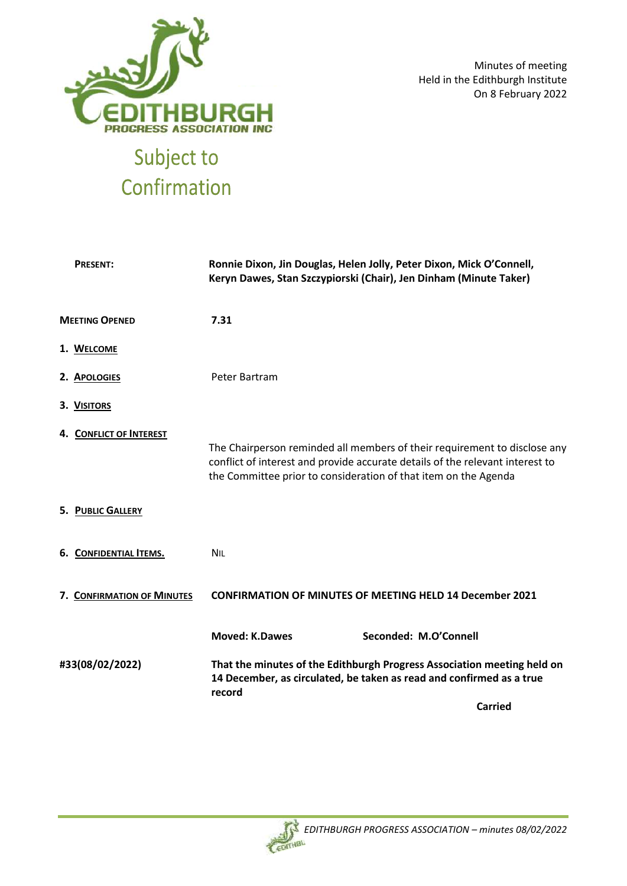

Minutes of meeting Held in the Edithburgh Institute On 8 February 2022

# Confirmation

| <b>PRESENT:</b>                                                                                                                                                              | Ronnie Dixon, Jin Douglas, Helen Jolly, Peter Dixon, Mick O'Connell,<br>Keryn Dawes, Stan Szczypiorski (Chair), Jen Dinham (Minute Taker)                                                                                     |  |
|------------------------------------------------------------------------------------------------------------------------------------------------------------------------------|-------------------------------------------------------------------------------------------------------------------------------------------------------------------------------------------------------------------------------|--|
| <b>MEETING OPENED</b>                                                                                                                                                        | 7.31                                                                                                                                                                                                                          |  |
| 1. WELCOME                                                                                                                                                                   |                                                                                                                                                                                                                               |  |
| 2. APOLOGIES                                                                                                                                                                 | Peter Bartram                                                                                                                                                                                                                 |  |
| 3. VISITORS                                                                                                                                                                  |                                                                                                                                                                                                                               |  |
| 4. CONFLICT OF INTEREST                                                                                                                                                      | The Chairperson reminded all members of their requirement to disclose any<br>conflict of interest and provide accurate details of the relevant interest to<br>the Committee prior to consideration of that item on the Agenda |  |
| <b>5. PUBLIC GALLERY</b>                                                                                                                                                     |                                                                                                                                                                                                                               |  |
| 6. CONFIDENTIAL ITEMS.                                                                                                                                                       | <b>NIL</b>                                                                                                                                                                                                                    |  |
| 7. CONFIRMATION OF MINUTES                                                                                                                                                   | <b>CONFIRMATION OF MINUTES OF MEETING HELD 14 December 2021</b>                                                                                                                                                               |  |
|                                                                                                                                                                              | <b>Moved: K.Dawes</b><br>Seconded: M.O'Connell                                                                                                                                                                                |  |
| #33(08/02/2022)<br>That the minutes of the Edithburgh Progress Association meeting held on<br>14 December, as circulated, be taken as read and confirmed as a true<br>record |                                                                                                                                                                                                                               |  |
|                                                                                                                                                                              | <b>Carried</b>                                                                                                                                                                                                                |  |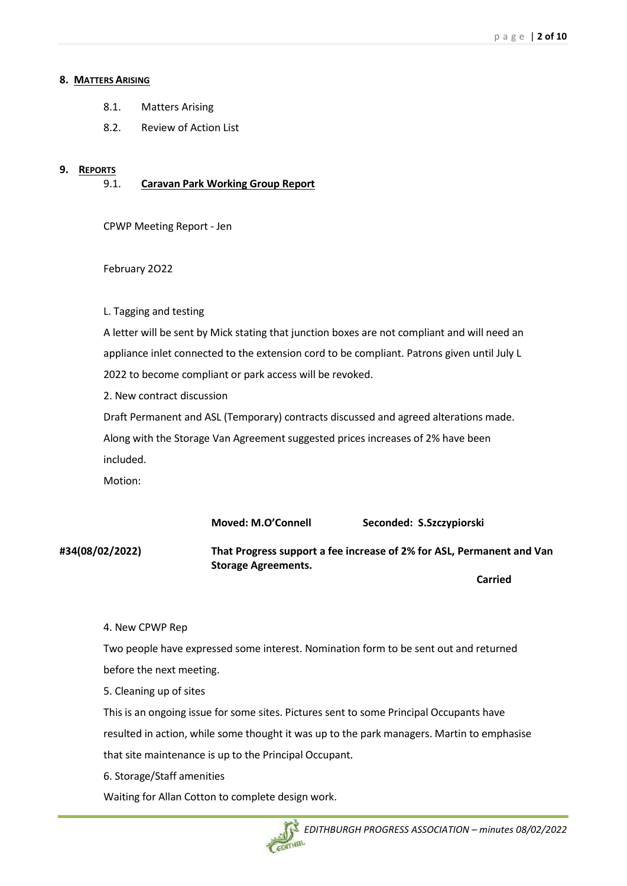#### **8. MATTERS ARISING**

- 8.1. Matters Arising
- 8.2. Review of Action List

#### **9. REPORTS**

9.1. **Caravan Park Working Group Report**

CPWP Meeting Report - Jen

#### February 2O22

#### L. Tagging and testing

A letter will be sent by Mick stating that junction boxes are not compliant and will need an appliance inlet connected to the extension cord to be compliant. Patrons given until July L 2022 to become compliant or park access will be revoked.

2. New contract discussion

Draft Permanent and ASL (Temporary) contracts discussed and agreed alterations made. Along with the Storage Van Agreement suggested prices increases of 2% have been included.

Motion:

**Moved: M.O'Connell Seconded: S.Szczypiorski**

**#34(08/02/2022) That Progress support a fee increase of 2% for ASL, Permanent and Van Storage Agreements.** 

**Carried**

#### 4. New CPWP Rep

Two people have expressed some interest. Nomination form to be sent out and returned before the next meeting.

5. Cleaning up of sites

This is an ongoing issue for some sites. Pictures sent to some Principal Occupants have resulted in action, while some thought it was up to the park managers. Martin to emphasise that site maintenance is up to the Principal Occupant.

6. Storage/Staff amenities

Waiting for Allan Cotton to complete design work.

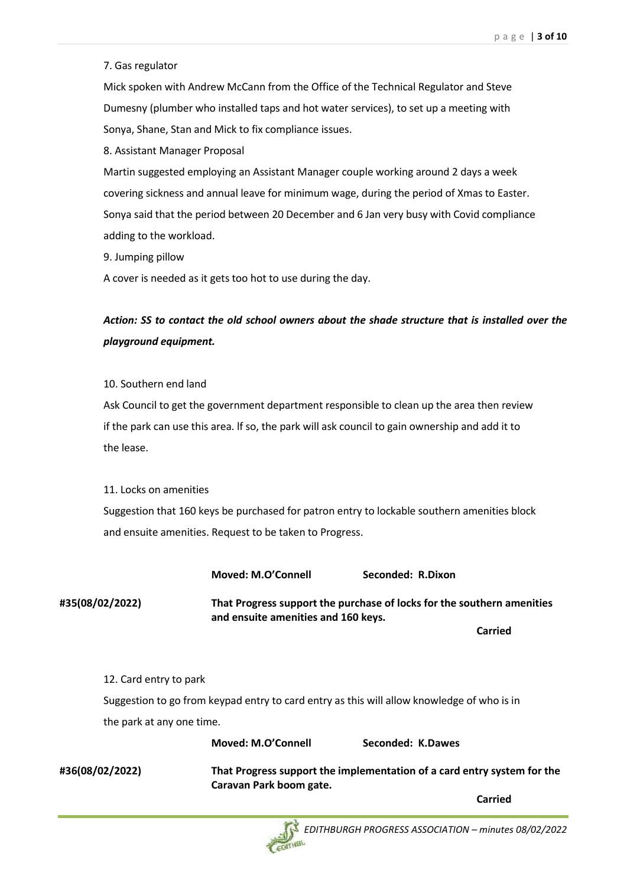#### 7. Gas regulator

Mick spoken with Andrew McCann from the Office of the Technical Regulator and Steve Dumesny (plumber who installed taps and hot water services), to set up a meeting with Sonya, Shane, Stan and Mick to fix compliance issues.

8. Assistant Manager Proposal

Martin suggested employing an Assistant Manager couple working around 2 days a week covering sickness and annual leave for minimum wage, during the period of Xmas to Easter. Sonya said that the period between 20 December and 6 Jan very busy with Covid compliance adding to the workload.

9. Jumping pillow

A cover is needed as it gets too hot to use during the day.

# *Action: SS to contact the old school owners about the shade structure that is installed over the playground equipment.*

10. Southern end land

Ask Council to get the government department responsible to clean up the area then review if the park can use this area. lf so, the park will ask council to gain ownership and add it to the lease.

11. Locks on amenities

Suggestion that 160 keys be purchased for patron entry to lockable southern amenities block and ensuite amenities. Request to be taken to Progress.

**Moved: M.O'Connell Seconded: R.Dixon**

**#35(08/02/2022) That Progress support the purchase of locks for the southern amenities and ensuite amenities and 160 keys.** 

**Carried**

12. Card entry to park

Suggestion to go from keypad entry to card entry as this will allow knowledge of who is in the park at any one time.

**#36(08/02/2022) That Progress support the implementation of a card entry system for the Caravan Park boom gate.**

**Moved: M.O'Connell Seconded: K.Dawes**

**Carried**

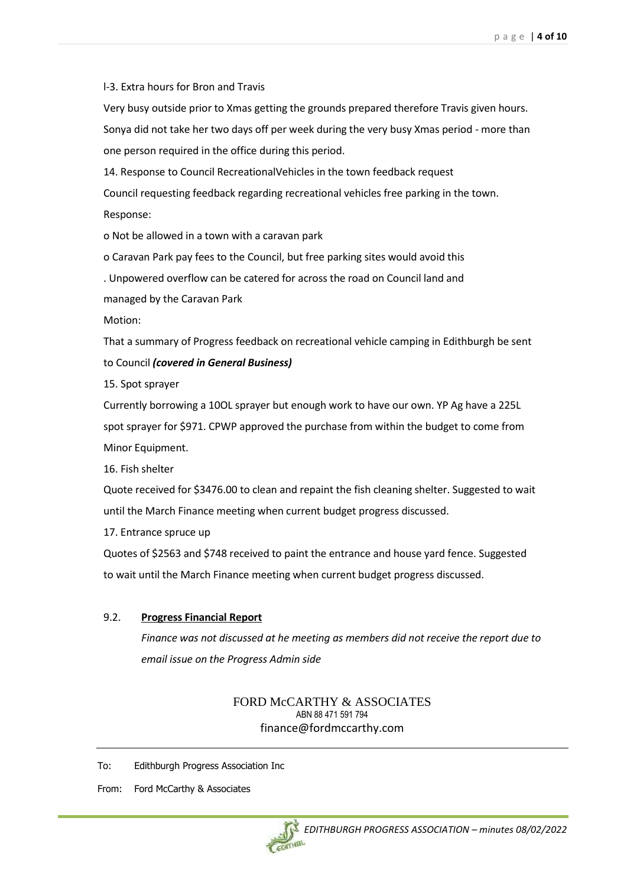l-3. Extra hours for Bron and Travis

Very busy outside prior to Xmas getting the grounds prepared therefore Travis given hours. Sonya did not take her two days off per week during the very busy Xmas period - more than

one person required in the office during this period.

14. Response to Council RecreationalVehicles in the town feedback request Council requesting feedback regarding recreational vehicles free parking in the town.

Response:

o Not be allowed in a town with a caravan park

o Caravan Park pay fees to the Council, but free parking sites would avoid this

. Unpowered overflow can be catered for across the road on Council land and

managed by the Caravan Park

Motion:

That a summary of Progress feedback on recreational vehicle camping in Edithburgh be sent to Council *(covered in General Business)*

15. Spot sprayer

Currently borrowing a 10OL sprayer but enough work to have our own. YP Ag have a 225L spot sprayer for \$971. CPWP approved the purchase from within the budget to come from Minor Equipment.

16. Fish shelter

Quote received for \$3476.00 to clean and repaint the fish cleaning shelter. Suggested to wait until the March Finance meeting when current budget progress discussed.

17. Entrance spruce up

Quotes of \$2563 and \$748 received to paint the entrance and house yard fence. Suggested to wait until the March Finance meeting when current budget progress discussed.

## 9.2. **Progress Financial Report**

*Finance was not discussed at he meeting as members did not receive the report due to email issue on the Progress Admin side*

#### FORD McCARTHY & ASSOCIATES ABN 88 471 591 794 finance@fordmccarthy.com

To: Edithburgh Progress Association Inc

From: Ford McCarthy & Associates

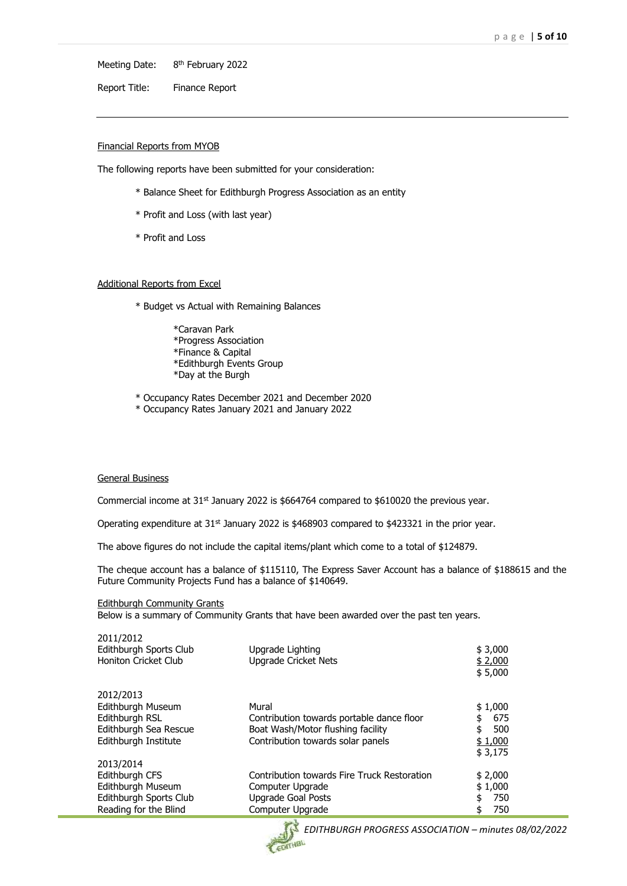Meeting Date: 8<sup>th</sup> February 2022

Report Title: Finance Report

#### Financial Reports from MYOB

The following reports have been submitted for your consideration:

- \* Balance Sheet for Edithburgh Progress Association as an entity
- \* Profit and Loss (with last year)
- \* Profit and Loss

#### Additional Reports from Excel

- \* Budget vs Actual with Remaining Balances
	- \*Caravan Park \*Progress Association \*Finance & Capital \*Edithburgh Events Group \*Day at the Burgh
- \* Occupancy Rates December 2021 and December 2020
- \* Occupancy Rates January 2021 and January 2022

#### General Business

Commercial income at 31<sup>st</sup> January 2022 is \$664764 compared to \$610020 the previous year.

Operating expenditure at 31<sup>st</sup> January 2022 is \$468903 compared to \$423321 in the prior year.

The above figures do not include the capital items/plant which come to a total of \$124879.

The cheque account has a balance of \$115110, The Express Saver Account has a balance of \$188615 and the Future Community Projects Fund has a balance of \$140649.

Edithburgh Community Grants

Below is a summary of Community Grants that have been awarded over the past ten years.

| 2011/2012<br>Edithburgh Sports Club<br>Honiton Cricket Club                                         | Upgrade Lighting<br><b>Upgrade Cricket Nets</b>                                                                              | \$3,000<br>\$2,000<br>\$5,000                           |
|-----------------------------------------------------------------------------------------------------|------------------------------------------------------------------------------------------------------------------------------|---------------------------------------------------------|
| 2012/2013<br>Edithburgh Museum<br>Edithburgh RSL<br>Edithburgh Sea Rescue<br>Edithburgh Institute   | Mural<br>Contribution towards portable dance floor<br>Boat Wash/Motor flushing facility<br>Contribution towards solar panels | \$1,000<br>675<br>\$<br>\$<br>500<br>\$1,000<br>\$3,175 |
| 2013/2014<br>Edithburgh CFS<br>Edithburgh Museum<br>Edithburgh Sports Club<br>Reading for the Blind | Contribution towards Fire Truck Restoration<br>Computer Upgrade<br><b>Upgrade Goal Posts</b><br>Computer Upgrade             | \$2,000<br>\$1,000<br>750<br>\$<br>750<br>\$            |

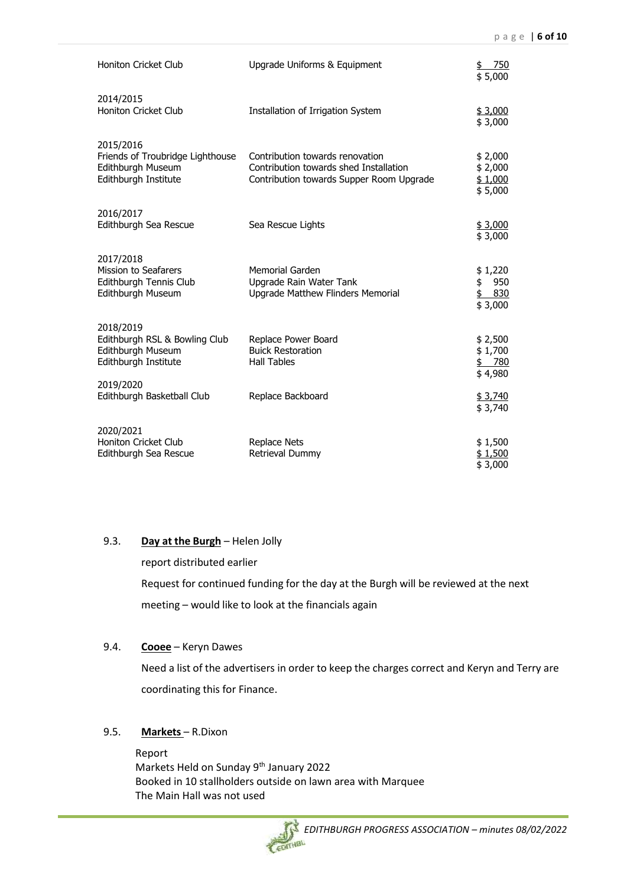| Honiton Cricket Club                                                                       | Upgrade Uniforms & Equipment                                                                                          | <u>750</u><br>\$5,000                        |
|--------------------------------------------------------------------------------------------|-----------------------------------------------------------------------------------------------------------------------|----------------------------------------------|
| 2014/2015<br>Honiton Cricket Club                                                          | Installation of Irrigation System                                                                                     | \$3,000<br>\$3,000                           |
| 2015/2016<br>Friends of Troubridge Lighthouse<br>Edithburgh Museum<br>Edithburgh Institute | Contribution towards renovation<br>Contribution towards shed Installation<br>Contribution towards Supper Room Upgrade | \$2,000<br>\$2,000<br>\$1,000<br>\$5,000     |
| 2016/2017<br>Edithburgh Sea Rescue                                                         | Sea Rescue Lights                                                                                                     | \$3,000<br>\$3,000                           |
| 2017/2018<br><b>Mission to Seafarers</b><br>Edithburgh Tennis Club<br>Edithburgh Museum    | <b>Memorial Garden</b><br>Upgrade Rain Water Tank<br>Upgrade Matthew Flinders Memorial                                | \$1,220<br>950<br>\$<br>\$<br>830<br>\$3,000 |
| 2018/2019<br>Edithburgh RSL & Bowling Club<br>Edithburgh Museum<br>Edithburgh Institute    | Replace Power Board<br><b>Buick Restoration</b><br><b>Hall Tables</b>                                                 | \$2,500<br>\$1,700<br>\$780<br>\$4,980       |
| 2019/2020<br>Edithburgh Basketball Club                                                    | Replace Backboard                                                                                                     | \$3,740<br>\$3,740                           |
| 2020/2021<br><b>Honiton Cricket Club</b><br>Edithburgh Sea Rescue                          | Replace Nets<br>Retrieval Dummy                                                                                       | \$1,500<br>\$1,500<br>\$3,000                |

#### 9.3. **Day at the Burgh** – Helen Jolly

report distributed earlier

Request for continued funding for the day at the Burgh will be reviewed at the next meeting – would like to look at the financials again

#### 9.4. **Cooee** – Keryn Dawes

Need a list of the advertisers in order to keep the charges correct and Keryn and Terry are coordinating this for Finance.

### 9.5. **Markets** – R.Dixon

Report Markets Held on Sunday 9<sup>th</sup> January 2022 Booked in 10 stallholders outside on lawn area with Marquee The Main Hall was not used

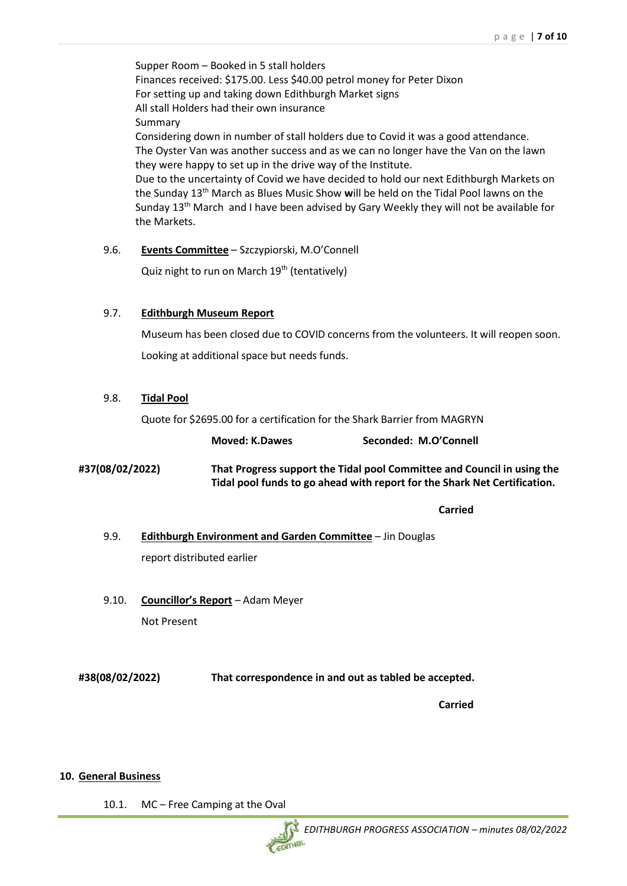Supper Room – Booked in 5 stall holders Finances received: \$175.00. Less \$40.00 petrol money for Peter Dixon For setting up and taking down Edithburgh Market signs All stall Holders had their own insurance Summary Considering down in number of stall holders due to Covid it was a good attendance. The Oyster Van was another success and as we can no longer have the Van on the lawn they were happy to set up in the drive way of the Institute. Due to the uncertainty of Covid we have decided to hold our next Edithburgh Markets on the Sunday 13th March as Blues Music Show **w**ill be held on the Tidal Pool lawns on the Sunday  $13<sup>th</sup>$  March and I have been advised by Gary Weekly they will not be available for the Markets.

9.6. **Events Committee** – Szczypiorski, M.O'Connell Quiz night to run on March 19<sup>th</sup> (tentatively)

# 9.7. **Edithburgh Museum Report**

Museum has been closed due to COVID concerns from the volunteers. It will reopen soon. Looking at additional space but needs funds.

#### 9.8. **Tidal Pool**

Quote for \$2695.00 for a certification for the Shark Barrier from MAGRYN

|                 | <b>Moved: K.Dawes</b>                                                                                                                                | Seconded: M.O'Connell |
|-----------------|------------------------------------------------------------------------------------------------------------------------------------------------------|-----------------------|
| #37(08/02/2022) | That Progress support the Tidal pool Committee and Council in using the<br>Tidal pool funds to go ahead with report for the Shark Net Certification. |                       |

**Carried**

9.9. **Edithburgh Environment and Garden Committee** – Jin Douglas report distributed earlier

9.10. **Councillor's Report** – Adam Meyer Not Present

**#38(08/02/2022) That correspondence in and out as tabled be accepted.**

**Carried**

#### **10. General Business**

10.1. MC – Free Camping at the Oval

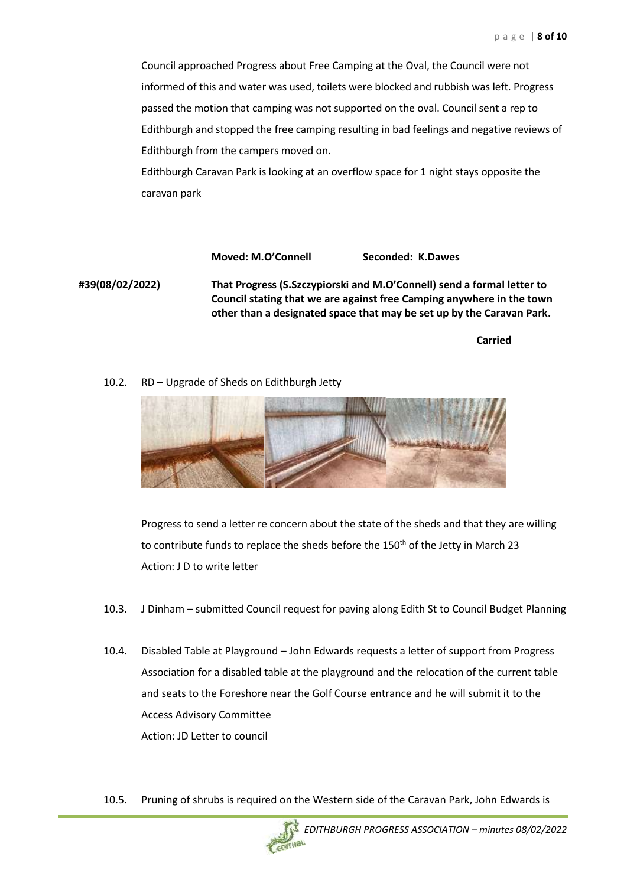Council approached Progress about Free Camping at the Oval, the Council were not informed of this and water was used, toilets were blocked and rubbish was left. Progress passed the motion that camping was not supported on the oval. Council sent a rep to Edithburgh and stopped the free camping resulting in bad feelings and negative reviews of Edithburgh from the campers moved on.

Edithburgh Caravan Park is looking at an overflow space for 1 night stays opposite the caravan park

**Moved: M.O'Connell Seconded: K.Dawes**

**#39(08/02/2022) That Progress (S.Szczypiorski and M.O'Connell) send a formal letter to Council stating that we are against free Camping anywhere in the town other than a designated space that may be set up by the Caravan Park.**

**Carried**

10.2. RD – Upgrade of Sheds on Edithburgh Jetty



Progress to send a letter re concern about the state of the sheds and that they are willing to contribute funds to replace the sheds before the 150<sup>th</sup> of the Jetty in March 23 Action: J D to write letter

- 10.3. J Dinham submitted Council request for paving along Edith St to Council Budget Planning
- 10.4. Disabled Table at Playground John Edwards requests a letter of support from Progress Association for a disabled table at the playground and the relocation of the current table and seats to the Foreshore near the Golf Course entrance and he will submit it to the Access Advisory Committee Action: JD Letter to council
- 10.5. Pruning of shrubs is required on the Western side of the Caravan Park, John Edwards is

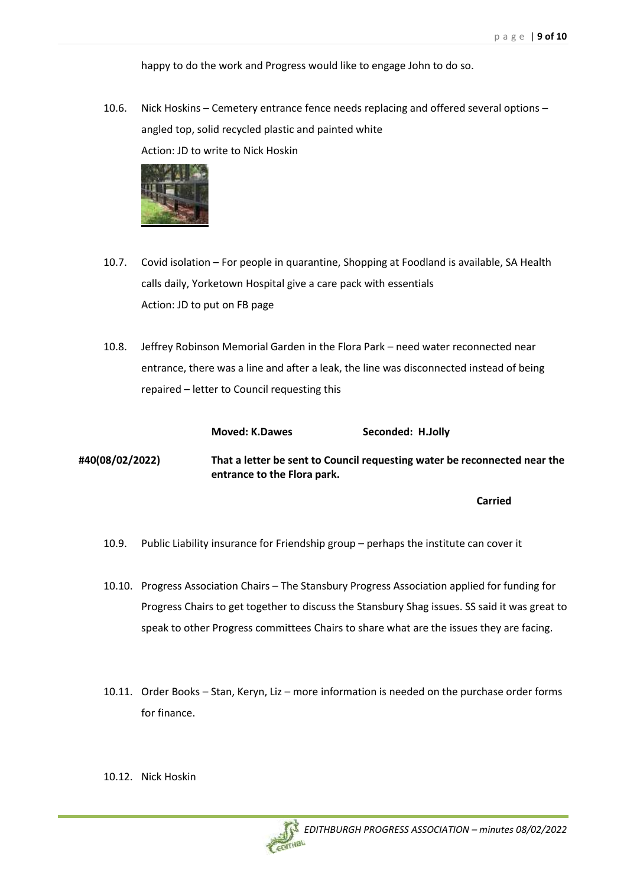happy to do the work and Progress would like to engage John to do so.

10.6. Nick Hoskins – Cemetery entrance fence needs replacing and offered several options – angled top, solid recycled plastic and painted white Action: JD to write to Nick Hoskin



- 10.7. Covid isolation For people in quarantine, Shopping at Foodland is available, SA Health calls daily, Yorketown Hospital give a care pack with essentials Action: JD to put on FB page
- 10.8. Jeffrey Robinson Memorial Garden in the Flora Park need water reconnected near entrance, there was a line and after a leak, the line was disconnected instead of being repaired – letter to Council requesting this

|                 | <b>Moved: K.Dawes</b>       | Seconded: H.Jolly                                                         |
|-----------------|-----------------------------|---------------------------------------------------------------------------|
| #40(08/02/2022) | entrance to the Flora park. | That a letter be sent to Council requesting water be reconnected near the |
|                 |                             | <b>Carried</b>                                                            |

- 10.9. Public Liability insurance for Friendship group perhaps the institute can cover it
- 10.10. Progress Association Chairs The Stansbury Progress Association applied for funding for Progress Chairs to get together to discuss the Stansbury Shag issues. SS said it was great to speak to other Progress committees Chairs to share what are the issues they are facing.
- 10.11. Order Books Stan, Keryn, Liz more information is needed on the purchase order forms for finance.
- 10.12. Nick Hoskin